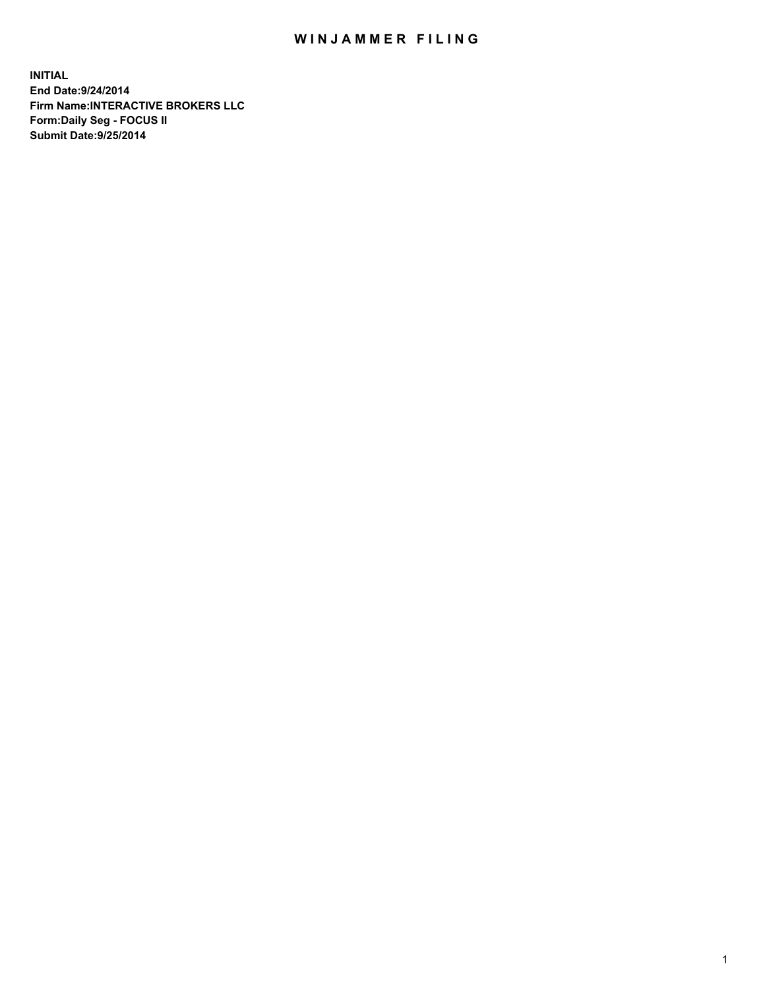## WIN JAMMER FILING

**INITIAL End Date:9/24/2014 Firm Name:INTERACTIVE BROKERS LLC Form:Daily Seg - FOCUS II Submit Date:9/25/2014**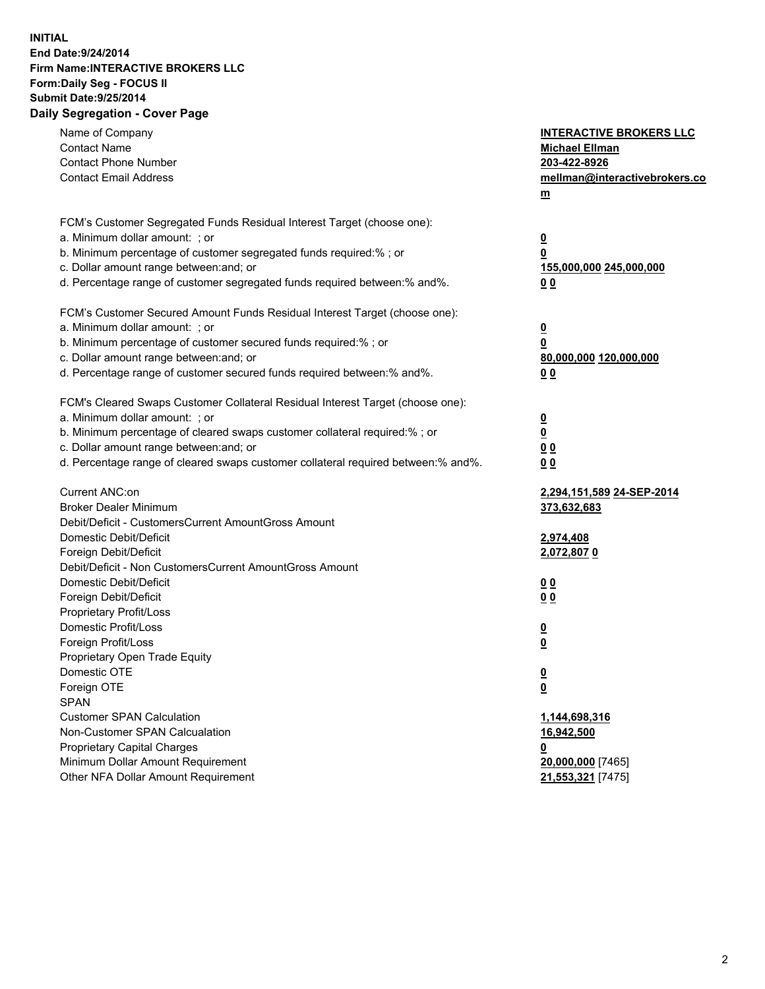## **INITIAL End Date:9/24/2014 Firm Name:INTERACTIVE BROKERS LLC Form:Daily Seg - FOCUS II Submit Date:9/25/2014 Daily Segregation - Cover Page**

| Name of Company<br><b>Contact Name</b><br><b>Contact Phone Number</b><br><b>Contact Email Address</b>    | <b>INTERACTIVE BROKERS LLC</b><br><b>Michael Ellman</b><br>203-422-8926<br>mellman@interactivebrokers.co<br>$m$ |
|----------------------------------------------------------------------------------------------------------|-----------------------------------------------------------------------------------------------------------------|
| FCM's Customer Segregated Funds Residual Interest Target (choose one):<br>a. Minimum dollar amount: ; or | $\overline{\mathbf{0}}$                                                                                         |
| b. Minimum percentage of customer segregated funds required:% ; or                                       | 0                                                                                                               |
| c. Dollar amount range between: and; or                                                                  | 155,000,000 245,000,000                                                                                         |
| d. Percentage range of customer segregated funds required between:% and%.                                | 0 <sub>0</sub>                                                                                                  |
| FCM's Customer Secured Amount Funds Residual Interest Target (choose one):                               |                                                                                                                 |
| a. Minimum dollar amount: ; or                                                                           | $\overline{\mathbf{0}}$                                                                                         |
| b. Minimum percentage of customer secured funds required:% ; or                                          | 0                                                                                                               |
| c. Dollar amount range between: and; or                                                                  | 80,000,000 120,000,000                                                                                          |
| d. Percentage range of customer secured funds required between:% and%.                                   | 0 <sub>0</sub>                                                                                                  |
| FCM's Cleared Swaps Customer Collateral Residual Interest Target (choose one):                           |                                                                                                                 |
| a. Minimum dollar amount: ; or                                                                           | $\overline{\mathbf{0}}$                                                                                         |
| b. Minimum percentage of cleared swaps customer collateral required:% ; or                               | $\overline{\mathbf{0}}$                                                                                         |
| c. Dollar amount range between: and; or                                                                  | 0 <sub>0</sub>                                                                                                  |
| d. Percentage range of cleared swaps customer collateral required between:% and%.                        | 0 <sub>0</sub>                                                                                                  |
| Current ANC:on                                                                                           | 2,294,151,589 24-SEP-2014                                                                                       |
| <b>Broker Dealer Minimum</b>                                                                             | 373,632,683                                                                                                     |
| Debit/Deficit - CustomersCurrent AmountGross Amount                                                      |                                                                                                                 |
| Domestic Debit/Deficit                                                                                   | 2,974,408                                                                                                       |
| Foreign Debit/Deficit                                                                                    | 2,072,8070                                                                                                      |
| Debit/Deficit - Non CustomersCurrent AmountGross Amount                                                  |                                                                                                                 |
| Domestic Debit/Deficit                                                                                   | 0 <sub>0</sub>                                                                                                  |
| Foreign Debit/Deficit                                                                                    | 0 <sub>0</sub>                                                                                                  |
| Proprietary Profit/Loss<br>Domestic Profit/Loss                                                          |                                                                                                                 |
| Foreign Profit/Loss                                                                                      | $\overline{\mathbf{0}}$<br>$\underline{\mathbf{0}}$                                                             |
| Proprietary Open Trade Equity                                                                            |                                                                                                                 |
| Domestic OTE                                                                                             | <u>0</u>                                                                                                        |
| Foreign OTE                                                                                              | <u>0</u>                                                                                                        |
| <b>SPAN</b>                                                                                              |                                                                                                                 |
| <b>Customer SPAN Calculation</b>                                                                         | 1,144,698,316                                                                                                   |
| Non-Customer SPAN Calcualation                                                                           | 16,942,500                                                                                                      |
| Proprietary Capital Charges                                                                              | <u>0</u>                                                                                                        |
| Minimum Dollar Amount Requirement                                                                        | 20,000,000 [7465]                                                                                               |
| Other NFA Dollar Amount Requirement                                                                      | 21,553,321 [7475]                                                                                               |
|                                                                                                          |                                                                                                                 |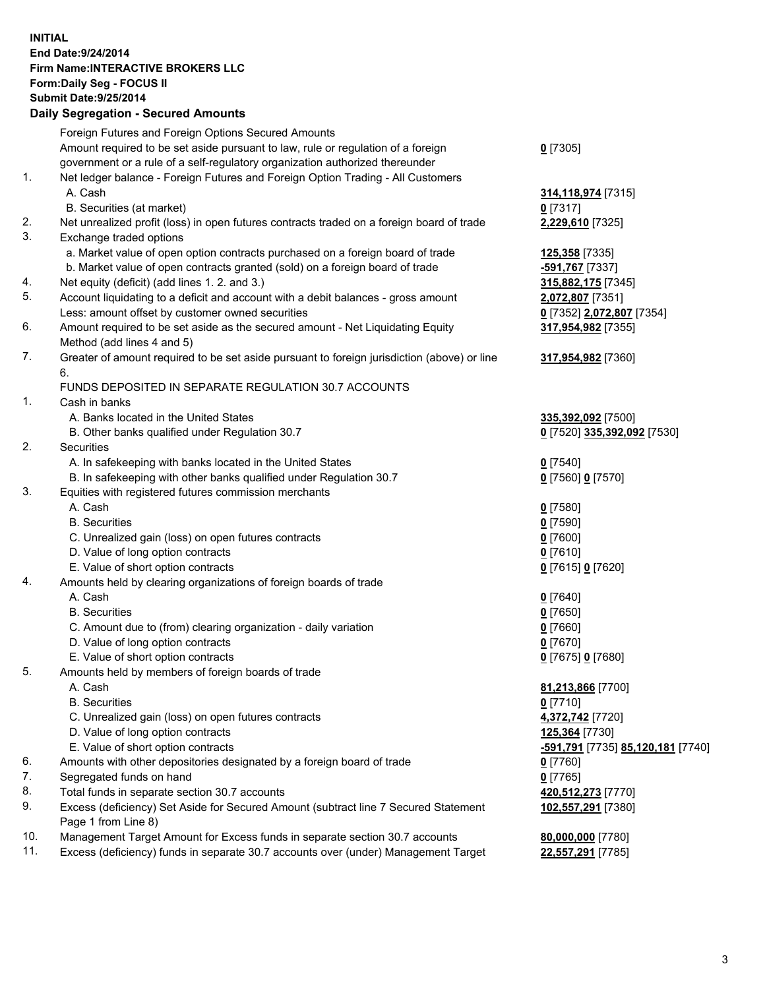## **INITIAL End Date:9/24/2014 Firm Name:INTERACTIVE BROKERS LLC Form:Daily Seg - FOCUS II Submit Date:9/25/2014 Daily Segregation - Secured Amounts**

|                | Daily Jegregation - Jeculed Aniounts                                                                       |                                   |
|----------------|------------------------------------------------------------------------------------------------------------|-----------------------------------|
|                | Foreign Futures and Foreign Options Secured Amounts                                                        |                                   |
|                | Amount required to be set aside pursuant to law, rule or regulation of a foreign                           | $0$ [7305]                        |
|                | government or a rule of a self-regulatory organization authorized thereunder                               |                                   |
| 1.             | Net ledger balance - Foreign Futures and Foreign Option Trading - All Customers                            |                                   |
|                | A. Cash                                                                                                    | 314,118,974 [7315]                |
|                | B. Securities (at market)                                                                                  | $0$ [7317]                        |
| 2.             | Net unrealized profit (loss) in open futures contracts traded on a foreign board of trade                  | 2,229,610 [7325]                  |
| 3.             | Exchange traded options                                                                                    |                                   |
|                | a. Market value of open option contracts purchased on a foreign board of trade                             | <u>125,358</u> [7335]             |
|                | b. Market value of open contracts granted (sold) on a foreign board of trade                               | -591,767 [7337]                   |
| 4.             | Net equity (deficit) (add lines 1. 2. and 3.)                                                              | 315,882,175 [7345]                |
| 5.             | Account liquidating to a deficit and account with a debit balances - gross amount                          | 2,072,807 [7351]                  |
|                | Less: amount offset by customer owned securities                                                           | 0 [7352] 2,072,807 [7354]         |
| 6.             | Amount required to be set aside as the secured amount - Net Liquidating Equity                             | 317,954,982 [7355]                |
|                | Method (add lines 4 and 5)                                                                                 |                                   |
| 7.             | Greater of amount required to be set aside pursuant to foreign jurisdiction (above) or line                | 317,954,982 [7360]                |
|                | 6.                                                                                                         |                                   |
|                | FUNDS DEPOSITED IN SEPARATE REGULATION 30.7 ACCOUNTS                                                       |                                   |
| $\mathbf{1}$ . | Cash in banks                                                                                              |                                   |
|                | A. Banks located in the United States                                                                      | 335,392,092 [7500]                |
|                | B. Other banks qualified under Regulation 30.7                                                             | 0 [7520] 335,392,092 [7530]       |
| 2.             | Securities                                                                                                 |                                   |
|                | A. In safekeeping with banks located in the United States                                                  | $0$ [7540]                        |
|                | B. In safekeeping with other banks qualified under Regulation 30.7                                         | 0 [7560] 0 [7570]                 |
| 3.             | Equities with registered futures commission merchants                                                      |                                   |
|                | A. Cash                                                                                                    | $0$ [7580]                        |
|                | <b>B.</b> Securities                                                                                       | $0$ [7590]                        |
|                | C. Unrealized gain (loss) on open futures contracts                                                        | $0$ [7600]                        |
|                | D. Value of long option contracts                                                                          | $0$ [7610]                        |
|                | E. Value of short option contracts                                                                         | 0 [7615] 0 [7620]                 |
| 4.             | Amounts held by clearing organizations of foreign boards of trade                                          |                                   |
|                | A. Cash                                                                                                    | $0$ [7640]                        |
|                | <b>B.</b> Securities                                                                                       | $0$ [7650]                        |
|                | C. Amount due to (from) clearing organization - daily variation                                            | $0$ [7660]                        |
|                | D. Value of long option contracts                                                                          | $0$ [7670]                        |
|                | E. Value of short option contracts                                                                         | 0 [7675] 0 [7680]                 |
| 5.             | Amounts held by members of foreign boards of trade                                                         |                                   |
|                | A. Cash                                                                                                    | 81,213,866 [7700]                 |
|                | <b>B.</b> Securities                                                                                       | $0$ [7710]                        |
|                | C. Unrealized gain (loss) on open futures contracts                                                        | 4,372,742 [7720]                  |
|                | D. Value of long option contracts                                                                          | 125,364 [7730]                    |
|                | E. Value of short option contracts                                                                         | -591,791 [7735] 85,120,181 [7740] |
| 6.             | Amounts with other depositories designated by a foreign board of trade                                     | $0$ [7760]                        |
| 7.             | Segregated funds on hand                                                                                   | $0$ [7765]                        |
| 8.             | Total funds in separate section 30.7 accounts                                                              | 420,512,273 [7770]                |
| 9.             | Excess (deficiency) Set Aside for Secured Amount (subtract line 7 Secured Statement<br>Page 1 from Line 8) | 102,557,291 [7380]                |
| 10.            | Management Target Amount for Excess funds in separate section 30.7 accounts                                | 80,000,000 [7780]                 |
| 11.            | Excess (deficiency) funds in separate 30.7 accounts over (under) Management Target                         | 22,557,291 [7785]                 |
|                |                                                                                                            |                                   |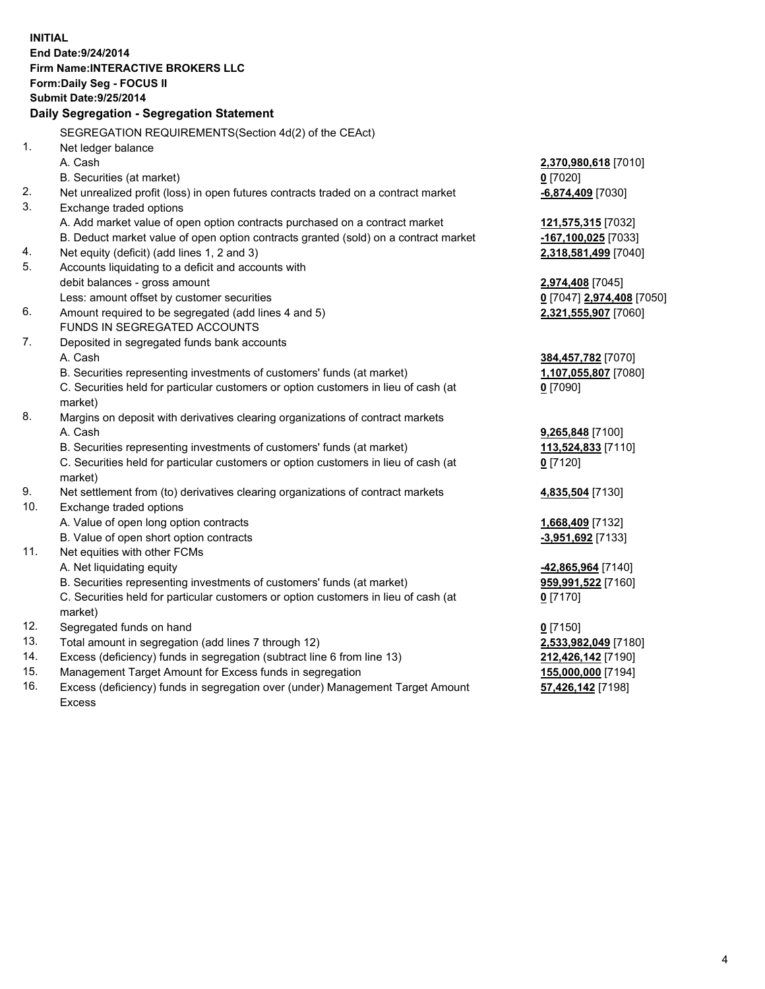**INITIAL End Date:9/24/2014 Firm Name:INTERACTIVE BROKERS LLC Form:Daily Seg - FOCUS II Submit Date:9/25/2014 Daily Segregation - Segregation Statement** SEGREGATION REQUIREMENTS(Section 4d(2) of the CEAct) 1. Net ledger balance A. Cash **2,370,980,618** [7010] B. Securities (at market) **0** [7020] 2. Net unrealized profit (loss) in open futures contracts traded on a contract market **-6,874,409** [7030] 3. Exchange traded options A. Add market value of open option contracts purchased on a contract market **121,575,315** [7032] B. Deduct market value of open option contracts granted (sold) on a contract market **-167,100,025** [7033] 4. Net equity (deficit) (add lines 1, 2 and 3) **2,318,581,499** [7040] 5. Accounts liquidating to a deficit and accounts with debit balances - gross amount **2,974,408** [7045] Less: amount offset by customer securities **0** [7047] **2,974,408** [7050] 6. Amount required to be segregated (add lines 4 and 5) **2,321,555,907** [7060] FUNDS IN SEGREGATED ACCOUNTS 7. Deposited in segregated funds bank accounts A. Cash **384,457,782** [7070] B. Securities representing investments of customers' funds (at market) **1,107,055,807** [7080] C. Securities held for particular customers or option customers in lieu of cash (at market) **0** [7090] 8. Margins on deposit with derivatives clearing organizations of contract markets A. Cash **9,265,848** [7100] B. Securities representing investments of customers' funds (at market) **113,524,833** [7110] C. Securities held for particular customers or option customers in lieu of cash (at market) **0** [7120] 9. Net settlement from (to) derivatives clearing organizations of contract markets **4,835,504** [7130] 10. Exchange traded options A. Value of open long option contracts **1,668,409** [7132] B. Value of open short option contracts **-3,951,692** [7133] 11. Net equities with other FCMs A. Net liquidating equity **-42,865,964** [7140] B. Securities representing investments of customers' funds (at market) **959,991,522** [7160] C. Securities held for particular customers or option customers in lieu of cash (at market) **0** [7170] 12. Segregated funds on hand **0** [7150] 13. Total amount in segregation (add lines 7 through 12) **2,533,982,049** [7180] 14. Excess (deficiency) funds in segregation (subtract line 6 from line 13) **212,426,142** [7190] 15. Management Target Amount for Excess funds in segregation **155,000,000** [7194]

16. Excess (deficiency) funds in segregation over (under) Management Target Amount Excess

**57,426,142** [7198]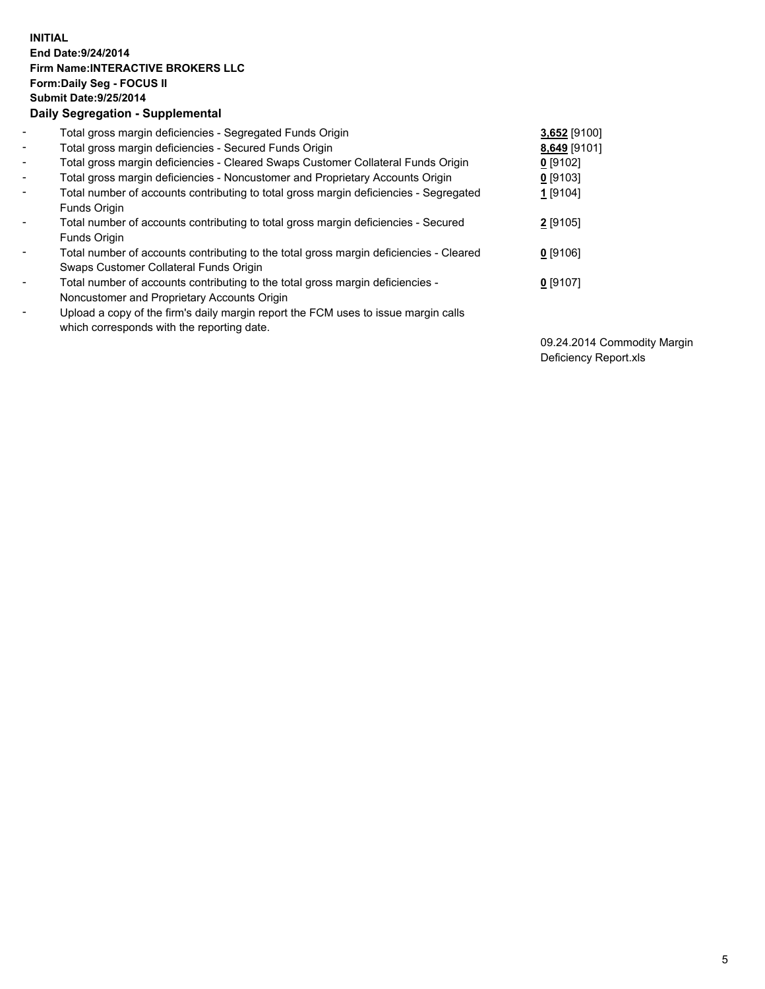## **INITIAL End Date:9/24/2014 Firm Name:INTERACTIVE BROKERS LLC Form:Daily Seg - FOCUS II Submit Date:9/25/2014 Daily Segregation - Supplemental**

| $\blacksquare$               | Total gross margin deficiencies - Segregated Funds Origin                              | 3,652 [9100] |
|------------------------------|----------------------------------------------------------------------------------------|--------------|
| $\blacksquare$               | Total gross margin deficiencies - Secured Funds Origin                                 | 8,649 [9101] |
| $\blacksquare$               | Total gross margin deficiencies - Cleared Swaps Customer Collateral Funds Origin       | $0$ [9102]   |
| $\blacksquare$               | Total gross margin deficiencies - Noncustomer and Proprietary Accounts Origin          | $0$ [9103]   |
| $\blacksquare$               | Total number of accounts contributing to total gross margin deficiencies - Segregated  | 1 [9104]     |
|                              | Funds Origin                                                                           |              |
| $\blacksquare$               | Total number of accounts contributing to total gross margin deficiencies - Secured     | $2$ [9105]   |
|                              | Funds Origin                                                                           |              |
| $\qquad \qquad \blacksquare$ | Total number of accounts contributing to the total gross margin deficiencies - Cleared | $0$ [9106]   |
|                              | Swaps Customer Collateral Funds Origin                                                 |              |
| ۰                            | Total number of accounts contributing to the total gross margin deficiencies -         | $0$ [9107]   |
|                              | Noncustomer and Proprietary Accounts Origin                                            |              |
| $\overline{\phantom{a}}$     | Upload a copy of the firm's daily margin report the FCM uses to issue margin calls     |              |
|                              | which corresponds with the reporting date.                                             |              |

09.24.2014 Commodity Margin Deficiency Report.xls